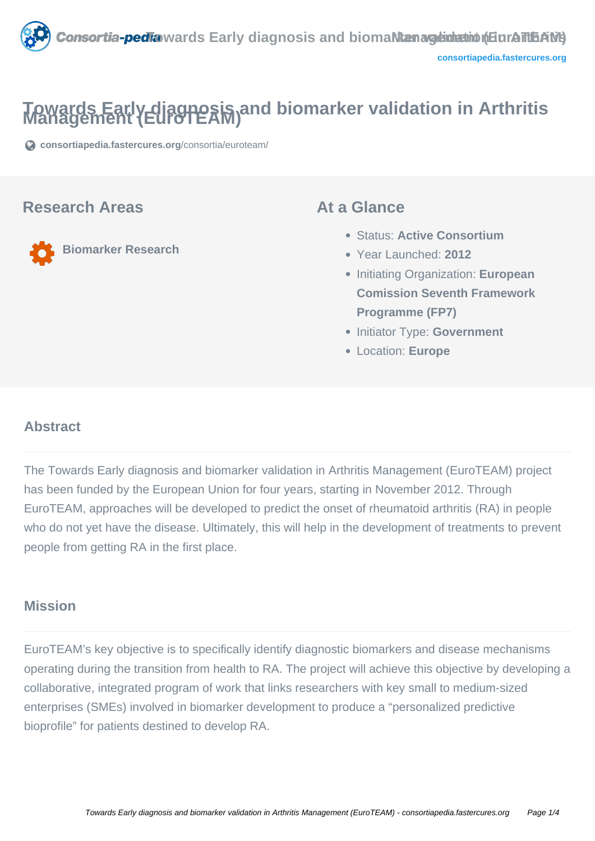

# **Towards Early diagnosis and biomarker validation in Arthritis Management (EuroTEAM)**

**[consortiapedia.fastercures.org](https://consortiapedia.fastercures.org/consortia/euroteam/)**[/consortia/euroteam/](https://consortiapedia.fastercures.org/consortia/euroteam/)

#### **Research Areas**

**Biomarker Research**

#### **At a Glance**

- Status: **Active Consortium**
- Year Launched: **2012**
- Initiating Organization: **European Comission Seventh Framework Programme (FP7)**
- **Initiator Type: Government**
- Location: **Europe**

#### $\overline{a}$ **Abstract**

The Towards Early diagnosis and biomarker validation in Arthritis Management (EuroTEAM) project has been funded by the European Union for four years, starting in November 2012. Through EuroTEAM, approaches will be developed to predict the onset of rheumatoid arthritis (RA) in people who do not yet have the disease. Ultimately, this will help in the development of treatments to prevent people from getting RA in the first place.

#### **Mission**

EuroTEAM's key objective is to specifically identify diagnostic biomarkers and disease mechanisms operating during the transition from health to RA. The project will achieve this objective by developing a collaborative, integrated program of work that links researchers with key small to medium-sized enterprises (SMEs) involved in biomarker development to produce a "personalized predictive bioprofile" for patients destined to develop RA.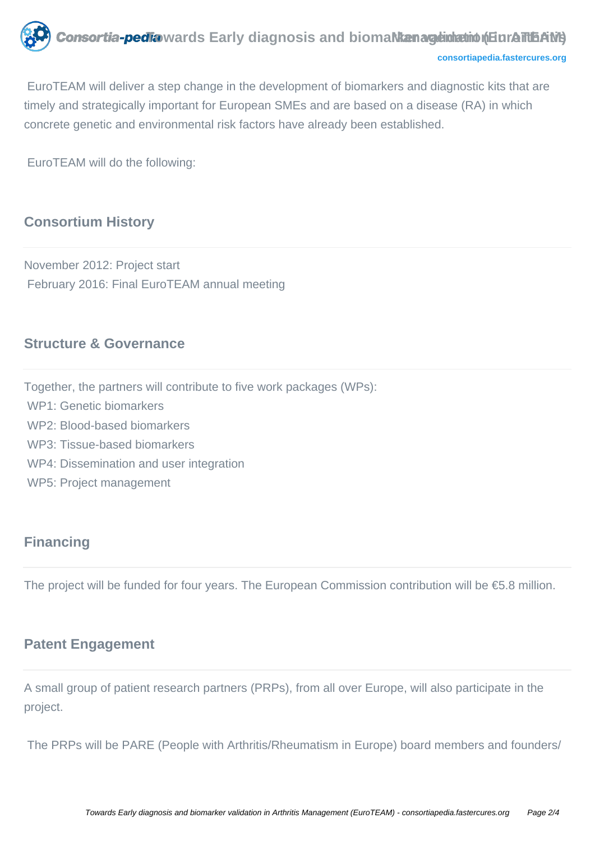

```
consortiapedia.fastercures.org
```
 EuroTEAM will deliver a step change in the development of biomarkers and diagnostic kits that are timely and strategically important for European SMEs and are based on a disease (RA) in which concrete genetic and environmental risk factors have already been established.

EuroTEAM will do the following:

## **Consortium History**

November 2012: Project start February 2016: Final EuroTEAM annual meeting

#### **Structure & Governance**

Together, the partners will contribute to five work packages (WPs):

- WP1: Genetic biomarkers
- WP2: Blood-based biomarkers
- WP3: Tissue-based biomarkers
- WP4: Dissemination and user integration
- WP5: Project management

### **Financing**

The project will be funded for four years. The European Commission contribution will be €5.8 million.

#### **Patent Engagement**

A small group of patient research partners (PRPs), from all over Europe, will also participate in the project.

The PRPs will be PARE (People with Arthritis/Rheumatism in Europe) board members and founders/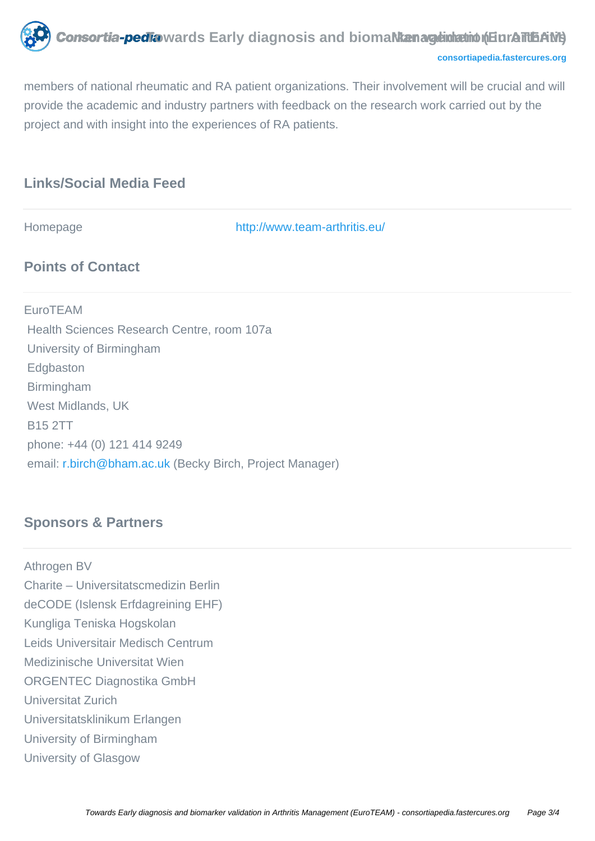**Tonsortia-pedia** wards Early diagnosis and bioma**l kan ageinhation (EuroTtEAM)** 

**[consortiapedia.fastercures.org](http://consortiapedia.fastercures.org/)**

members of national rheumatic and RA patient organizations. Their involvement will be crucial and will provide the academic and industry partners with feedback on the research work carried out by the project and with insight into the experiences of RA patients.

## **Links/Social Media Feed**

Homepage <http://www.team-arthritis.eu/>

#### **Points of Contact**

EuroTEAM Health Sciences Research Centre, room 107a University of Birmingham Edgbaston Birmingham West Midlands, UK B15 2TT phone: +44 (0) 121 414 9249 email: [r.birch@bham.ac.uk](mailto:r.birch@bham.ac.uk) (Becky Birch, Project Manager)

## **Sponsors & Partners**

Athrogen BV Charite – Universitatscmedizin Berlin deCODE (Islensk Erfdagreining EHF) Kungliga Teniska Hogskolan Leids Universitair Medisch Centrum Medizinische Universitat Wien ORGENTEC Diagnostika GmbH Universitat Zurich Universitatsklinikum Erlangen University of Birmingham University of Glasgow